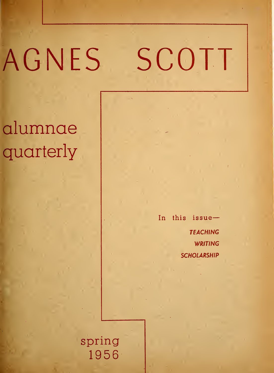# AGNES SCOTT

# alumnae quarterly

In this issue-**TEACHING** WRITING **SCHOLARSHIP** 

spr ing 19 56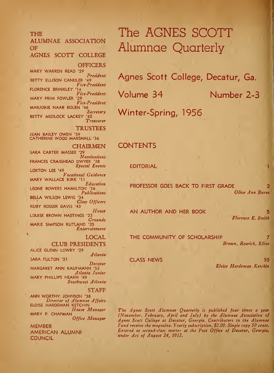### THE

### ALUMNAE ASSOCIATION OF

AGNES SCOTT COLLEGE

**OFFICERS** 

MARY WARREN READ President BETTY ELLISON CANDLER '49 Vice-President FLORENCE BRINKLEY '14Vice-President MARY PRIM FOWLER '29 Vice-President MARJORIE NAAB BOLEN '46Secretary BETTY MEDLOCK LACKEY '42 Treasurer

**TRUSTEES**<br>JEAN BAILEY OWEN '39 CATHERINE WOOD MARSHALL '36

CHAIRMEN

SARA CARTER MASSEE '29 Nominations FRANCES CRAIGHEAD DWYER '28 Special Events LORTON LEE '49Vocational Guidance MARY WALLACE KIRK '11 Education LEONE BOWERS HAMILTON '26 Publications BELLA WILSON LEWIS '34 Class Officers RUBY ROSSER DAVIS '43 House LOUISE BROWN HASTINGS '23Grounds MARIE SIMPSON RUTLAND '35 Entertainment

LOCAL

#### CLUB PRESIDENTS

ALICE GLENN LOWRY '29 Atlanta SARA FULTON '21 Decatur MARGARET ANN KAUFMANN '52 Atlanta Junior MARY PHILLIPS HEARN '49 Southwest Atlanta

#### STAFF

ANN WORTHY JOHNSON '38 Director of Alumnae Affairs ELOISE HARDEMAN KETCH1N House Manager MARY P. CHAPMAN Office Manager

MEMBER AMERICAN ALUMNI **COUNCIL** 

## The AGNES SCOTT Alumnae Quarterly

Agnes Scott College, Decatur, Ga.

Volume 34 Number 2-3

Winter-Spring, 1956

### CONTENTS

EDITORIAL

PROFESSOR GOES BACK TO FIRST GRADE Olive Ann Burns

AN AUTHOR AND HER BOOK

5 Florence E. Smith

THE COMMUNITY OF SCHOLARSHIP Brown, Rearick, Kline

CLASS NEWS 10 Eloise Hardeman Ketchin

The Agnes Scott Alumnae Quarterly is published four times a year (November, February, April and July) by the Alumnae Association of Agnes Scott College at Decatur, Georgia. Contributors to the Alumnae Fund receive the magazine. Yearly subscription, \$2.00. Single copy 50 cents. Entered as second-class matter at the Post Office of Decatur, Georgia, under Act of August 24, 1912.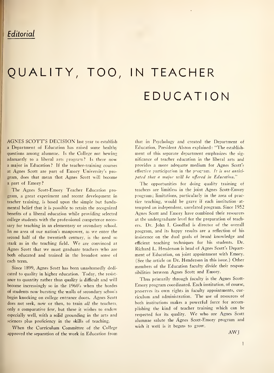### **Editorial**

# QUALITY, TOO, IN TEACHER EDUCATION

AGNES SCOTT'S DECISION last year to establish <sup>a</sup> Department of Education has raised some healthy questions among alumnae. Is the College not hewing adamantly to <sup>a</sup> liberal arts program? Is there now a major in Education? If the teacher-training courses at Agnes Scott are part of Emory University's pro gram, does that mean that Agnes Scott will become <sup>a</sup> part of Emory?

The Agnes Scott-Emory Teacher Education pro gram, a great experiment and recent development in teacher training, is based upon the simple but fundamental belief that it is possible to retain the recognized benefits of a liberal education while providing selected college students with the professional competence necessary for teaching in an elementary or secondary school. In no area of our nation's manpower, as we enter the second half of the twentieth century, is the need so stark as in the teaching field. We are convinced at Agnes Scott that we must graduate teachers who are both educated and trained in the broadest sense of each term.

Since 1899, Agnes Scott has been unashamedly dedi cated to quality in higher education. Today, the resist ance to quantity rather than quality is difficult and will become increasingly so in the 1960's when the hordes of students now bursting the walls of secondary schools begin knocking on college entrance doors. Agnes Scott does not seek, now or then, to train all the teachers, only a comparative few, but these it wishes to endow especially well, with a solid grounding in the arts and sciences plus proficiency in the skills of teaching.

When the Curriculum Committee of the College approved the separation of the work in Education from

that in Psychology and created the Department of Education, President Alston explained: "The establish ment of this separate department emphasizes the sig nificance of teacher education in the liberal arts and provides a more adequate medium for Agnes Scott's effective participation in the program. It is not anticipated that a major will be offered in Education."

The opportunities for doing quality training of teachers are limitless in the joint Agnes Scott-Emory program; limitations, particularly in the area of practice teaching, would be grave if each institution attempted an independent, unrelated program. Since 1952 Agnes Scott and Emory have combined their resources at the undergraduate level for the preparation of teachers. Dr. John I. Goodlad is director of the overall program, and its happy results are a reflection of his insistence on the dual goals of broad knowledge and efficient teaching techniques for his students. Dr. Richard L. Henderson is head of Agnes Scott's Department of Education, on joint appointment with Emory. (See the article on Dr. Henderson in this issue.) Other members of the Education faculty divide their responsibilities between Agnes Scott and Emory.

Thus primarily through faculty is the Agnes Scott-Emory program coordinated. Each institution, of course, preserves its own rights in faculty appointments, curriculum and administration. The use of resources of both institutions makes <sup>a</sup> powerful force for accomplishing the kind of teacher training which can be respected for its quality. We who are Agnes Scott alumnae salute the Agnes Scott-Emory program and wish it well is it begins to grow.

AWJ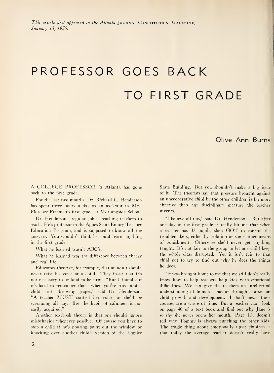# PROFESSOR GOES BACK TO FIRST GRADE

### Olive Ann Burns

A COLLEGE PROFESSOR in Atlanta has gone back to the first grade.

For the last two months, Dr. Richard L. Henderson has spent three hours a day as an assistant in Mrs. Florence Freeman's first grade at Morningside School.

Dr. Henderson's regular job is teaching teachers to teach. He's professor in the Agnes Scott-Emory Teacher Education Program, and is supposed to know all the answers. You wouldn't think he could learn anything in the first grade.

What he learned wasn't ABC's.

What he learned was the difference between theory and real life.

Educators theorize, for example, that an adult should never raise his voice at <sup>a</sup> child. They insist that it's not necessary to be loud to be firm. "But <sup>I</sup> found out it's hard to remember that—when you're tired and <sup>a</sup> child starts throwing grapes," said Dr. Henderson. "A teacher MUST control her voice, or she'll be screaming all day. But the habit of calmness is not easily acquired."

Another textbook theory is that one should ignore misbehavior whenever possible. Of course you have to stop a child if he's pouring paint out the window or knocking over another child's version of the Empire State Building. But you shouldn't make a big issue of it. The theorists say that pressure brought against an uncooperative child by the other children is far more effective than any disciplinary measure the teacher invents.

"I believe all this," said Dr. Henderson. "But after one day in the first grade it really hit me that when <sup>a</sup> teacher has <sup>33</sup> pupils, she's GOT to control the troublemakers, either by isolation or some other means of punishment. Otherwise she'd never get anything taught. It's not fair to the group to let one child keep the whole class disrupted. Yet it isn't fair to that child not to try to find out why he does the things he does.

"It was brought home to me that we still don't really know how to help teachers help kids with emotional difficulties. We can give the teachers an intellectual understanding of human behavior through courses on child growth and development. <sup>I</sup> don't mean these courses are a waste of time. But a teacher can't look on page 40 of <sup>a</sup> text book and find out why Jane is so shy she never opens her mouth. Page 121 doesn't tell why Tommy is- always punching the other kids. The tragic thing about emotionally upset children is that today the average teacher doesn't really have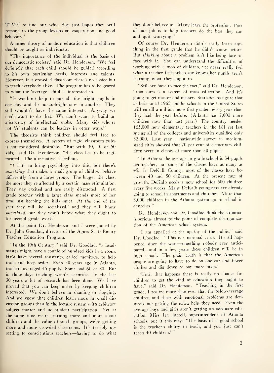TIME to find out why. She just hopes they will respond to the group lessons on cooperation and good behavior."

Another theory of modern education is that children should be taught as individuals.

"The importance of the individual is the basis of our democratic society," said Dr. Henderson. "We feel definitely that each child should be guided according to his own particular needs, interests and talents. However, in a crowded classroom there's no choice but to teach everybody alike. The program has to be geared to what the 'average' child is interested in.

"It wouldn't help to put all the bright pupils in one class and the not-so-bright ones in another. They still wouldn't have the same interests. Anyway we don't want to do that. We don't want to build an aristocracy of intellectual snobs. Many kids who're not 'A' students can be leaders in other ways."

The theorists think children should feel free to express themselves. A system of rigid classroom rules is not considered desirable. "But with 30, 40 or 50 kids," said Dr. Henderson, "the class has to be regimented. The alternative is bedlam.

"I hate to bring psychology into this, but there's something that makes a small group of children behave diffierently from a large group. The bigger the class, the more they're affected by a certain mass stimulation. They stay excited and are easily distracted. A first grade teacher with a large class spends most of her time just keeping the kids quiet. At the end of the year they will be 'socialized,' and they will know something, but they won't know what they ought to for second grade work."

At this point Dr. Henderson and <sup>I</sup> were joined by Dr. John Goodlad, director of the Agnes Scott-Emory Teacher Education Program.

"In the 19th Century," said Dr. Goodlad, "a head master might have a couple of hundred kids in <sup>a</sup> room. He'd have several assistants, called monitors, to help teach and keep order. Even 50 years ago in Atlanta, teachers averaged 45 pupils. Some had 60 or 80. But in those days teaching wasn't scientific. In the last <sup>30</sup> years <sup>a</sup> lot of research has been done. We have proved that you can keep order by keeping children interested. We don't believe in shaming or Hogging. And we know that children learn more in small dis cussion groups than in the lecture system with arbitrary subject matter and no student participation. Yet at the same time we're learning more and more about children and the value of small groups, we're getting more and more crowded classrooms. It's terribly upsetting to conscientious teachers—having to do what

they don't believe in. Many leave the profession. Part of our job is to help teachers do the best they can and quit worrying."

Of course Dr. Henderson didn't really learn any thing in the first grade that he didn't know before. But thinking about a problem isn't like being face-to face with it. You can understand the difficulties of working with <sup>a</sup> mob of children, yet never really feel what a teacher feels when she knows her pupils aren't learning what they ought to.

"Still we have to face the fact," said Dr. Henderson, "that ours is a system of mass education. And it's going to get masser and masser. Statisticians figure that at least until 1965, public schools in the United States will enroll a million more first graders every year than they had the year before. (Atlanta has 7,000 more children now than last year.) The country needed 165,000 new elementary teachers in the fall yet last spring all of the colleges and universities qualified only 32,000. Last year a nationwide survey in mediumsized cities showed that 70 per cent of elementary chil dren were in classes of more than 30 pupils.

"In Atlanta the average in grade school is 34 pupils per teacher, but some of the classes have as many as 45. In DeKalb County, most of the classes have be tween 40 and 50 children. At the present rate of growth, DeKalb needs <sup>a</sup> new school for 500 children every five weeks. Many DeKalb youngsters are already going to school in apartments and churches. More than 3,000 children in the Atlanta system go to school in churches."

Dr. Henderson and Dr. Goodlad think the situation is serious almost to the point of complete disorganization of the American school system.

"I am appalled at the apathy of the public," said Dr. Goodlad. "This is <sup>a</sup> national crisis. It's all happened since the war—something nobody ever anticipated—and in <sup>a</sup> few years these children will be in high school. The plain truth is that the American people are going to have to do on one car and fewer clothes and dig down to pay more taxes."

"Until that happens there is really no chance for children to get the kind of education they ought to have," said Dr. Henderson. "Teaching in the first grade, <sup>I</sup> realize more than ever that the below-average children and those with emotional problems are definitely not getting the extra help they need. Even the average boys and girls aren't getting an adequate education. Miss Ira Jarrell, superintendent of Atlanta schools, put it this way: 'The basis of <sup>a</sup> good school is the teacher's ability to teach, and you just can't teach 40 children.' "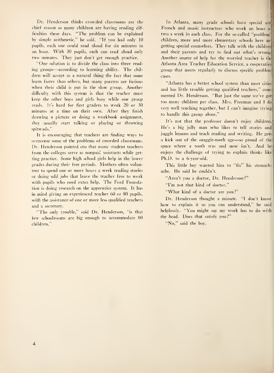Dr. Henderson thinks crowded classrooms are the chief reason so many children are having reading difficulties these days. "The problem can be explained by simple arithmetic," he said. "If you had only 10 pupils, each one could read aloud for six minutes in an hour. With 30 pupils, each can read aloud only two minutes. They just don't get enough practice.

"One solution is to divide the class into three read ing groups—according to learning ability. The chil dren will accept as a natural thing the fact that some learn faster than others, but many parents are furious when their child is put in the slow group. Another difficult) with this system is that the teacher must keep the other boys and girls busy while one group reads. It's hard for first graders to work 20 or 30 minutes at a time on their own. After they finish drawing a picture or doing a workbook assignment, thev usually start talking or playing or throwing spitwads."

It is encouraging that teachers are finding ways to overcome some of the problems of crowded classrooms. Dr. Henderson pointed otu that many student teachers from the colleges serve as nonpaid assistants while getting practice. Some high school girls help in the lower grades during their free periods. Mothers often volunteer to spend one or more hours a week reading stories or doing odd jobs that leave the teacher free to work with pupils who need extra help. The Ford Foundation is doing research on the apprentice system. It has in mind giving an experienced teacher 60 or 80 pupils, with the assistance of one or more less qualified teachers and a secretary.

"The only trouble," said Dr. Henderson, "is that few schoolrooms are big enough to accommodate 80 children."

In Atlanta, many grade schools have special arl French and music instructors who work an hour <sup>o</sup> two <sup>a</sup> week in each class. For the so-called "problem'! children, more and more elementary schools here are getting special counselors. They talk with the childrei) and their parents and try to find out what's wrong Another source of help for the worried teacher is the Atlanta Area Teacher Education Service, a cooperative! group that meets regularly to discuss specific problem cases.

"Atlanta has a better school system than most cities! and has little trouble getting qualified teachers," com mented Dr. Henderson. "But just the same we've got too many children per class. Mrs. Freeman and <sup>I</sup> do very well teaching together, but <sup>I</sup> can't imagine trying to handle this group alone."

It's not that the professor doesn't enjoy children. He's <sup>a</sup> big jolly man who likes to tell stories and juggle lemons and teach reading and writing. He gets <sup>a</sup> kick out of the snaggle-tooth age—so proud of the' space where <sup>a</sup> tooth was and now isn't. And he enjoys the challenge of trying to explain thinks like Ph.D. to a 6-year-old.

This little boy wanted him to "fix" his stomachache. He said he couldn't.

"Aren't you a doctor, Dr. Henderson?"

"I'm not that kind of doctor."

"What kind of <sup>a</sup> doctor are you?"

Dr. Henderson thought <sup>a</sup> minute. "I don't know how to explain it so you can understand," he said helplessly. "You might say my work has to do with the head. Does that satisfy you ?"

"No," said the boy.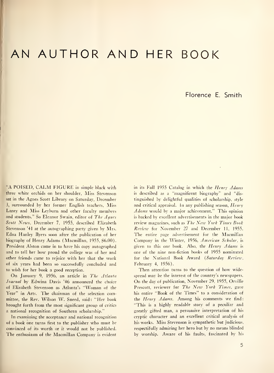### AN AUTHOR AND HER BOOK

Florence E. Smith

"A POISED, CALM FIGURE in simple black with three white orchids on her shoulder, Miss Stevenson sat in the Agnes Scott Library on Saturday, December 3, surrounded by her former English teachers, Miss Laney and Miss Leyburn and other faculty members and students." So Eleanor Swain, editor of The Agnes Scott News, December 7, 1955, described Elizabeth Stevenson '41 at the autographing party given by Mrs. Edna Hanley Byers soon after the publication of her biography of Henry Adams (Macmillan, 1955, \$6.00). President Alston came in to have his copy autographed and to tell her how proud the college was of her and other friends came to rejoice with her that the work of six years had been so successfully concluded and to wish for her book a good reception.

On January 9, 1956, an article in The Atlanta Journal by Edwina Davis '46 announced the choice of Elizabeth Stevenson as Atlanta's "Woman of the Year" in Arts. The chairman of the selection committee, the Rev. Wilson W. Sneed, said: "Her book brought forth from the most significant group of critics a national recognition of Southern scholarship."

In examining the acceptance and national recognition of <sup>a</sup> book one turns first to the publisher who must be convinced of its worth or it would not be published. The enthusiasm of the Macmillan Company is evident

in its Fall 1955 Catalog in which the Henry Adams is described as a "magnificent biographv" and "dis tinguished by delightful qualities of scholarship, style and critical appraisal. In any publishing season, Henry Adams would by <sup>a</sup> major achievement." This opinion is backed by excellent advertisements in the major book review magazines, such as The New York Times Book Review for November 27 and December 11, 1955. The entire page advertisement for the Macmillan Company in the Winter, 1956, American Scholar, is given to this one book. Also, the Henry Adams is one of the nine non-fiction books of 1955 nominated for the National Book Award (Saturday Review, February 4, 1956).

Then attention turns to the question of how widespread may be the interest of the country's newspapers. On the day of publication, November 29, 1955, Orville Prescott, reviewer for The New York Times, gave his entire "Book of the Times" to a consideration of the Henry Adams. Among his comments we find: "This is a highly readable story of a peculiar and greatly gifted man, a persuasive interpretation of his cryptic character and an excellent critical analysis of his works. Miss Stevenson is sympathetic but judicious, respectifully admiring her hero but by no means blinded by worship. Aware of his faults, fascinated by his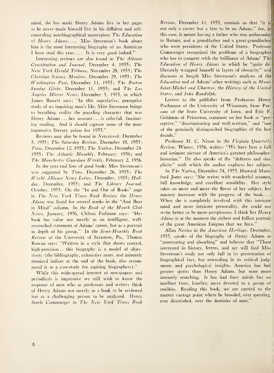mind, she has made Henry Adams live in her pages as he never made himself live in his diffident and self concealing autobiographical masterpiece The Education of Henry Adams.... Miss Stevenson's book about him is the most interesting biography of an American <sup>I</sup> have read this year. ... It is very good indeed."

Interesting reviews are also found in The Atlanta Constitution and Journal, December 4, 1955; The New York Herald Tribune, November 28, 1955; The Christian Science Monitor, December 29, 1955; The Washington Post, December 11, 1955; The Boston Sunday Globe, December 11, 1955; and The Los Angeles Mirror News, December 5, 1955, in which James Bassett says: "In this superlative, perceptive study of an inquiring man's life, Miss Stevenson brings to breathing reality the puzzling character that was Henry Adams . . . her account ... is colorful, fascinat ing reading. And it should capture some of the most impressive literary prizes for 1955."

Reviews may also be found in Newsweek, December 5, 1955; The Saturday Review, December 10, 1955; Time, December 12, 1955; The Nation, December 24, 1955; The Atlantic Monthly, February, 1956; and The Manchester Guardian Weekly, February 2, 1956.

In the year-end lists of good books Miss Stevenson's was suggested by Time, December 26, 1955; The World Alliance News Letter, December, 1955; Holiday, December, 1955; and The Library Journal, October, 1955. On the "In and Out of Books" page in The New York Times Book Review the Henry Adams was listed for several weeks in the "And Bear in Mind" column. In the Book of the Month Club News, January, 1956, Clifton Fadiman says: "Her book has value not merely as an intelligent, well researched statement of Adams' career, but as <sup>a</sup> portrait in depth of his group." In the Semi-Monthly Book Review of the University of Scranton, Pa., Thomas Rowan says: "Written in <sup>a</sup> style that shows control, high-precision . . this biography is a model of objectivety (the bibliography, exhaustive notes, and minutely itemized indices at the end of the book, also recom mend it as a case-study for aspiring biographers)."

While this wide-spread interest of newspapers and periodicals is impressive we still wish to know the response of men who as professors and writers think of Henry Adams not merely as <sup>a</sup> book to be reviewed but as a challenging person to be analyzed. Henry Steele Commanger in The New York Times Book

Review, December 11, 1955, reminds us that "it is' not only a career but a fate to be an Adams," for, in this case, it meant having <sup>a</sup> father who was ambassador to Britain, and a grandfather and a great-grandfather who were presidents of the United States. Professor Commanger recognized the problems of <sup>a</sup> biographer who has to compete with the brilliance of  $Adams'$  The Education of Henry Adams in which he "quite deliberately wrapped himself in layers of obscurity" and discusses at length Miss Stevenson's analyses of the] Education and of Adams' other writings such as Mont-\ Saint-Michel and Chartres, the History of the United States, and John Randolph.

Letters to the publisher from Professors Henry Pochmann of the University of Wisconsin, Stow Parsons of the State University of Iowa, and Eric F. Goldman of Princeton, comment on her book as "perceptive," "discriminating and well-written," and "one of the genuinely distinguished biographies of the last decade."

Professor H. C. Nixon in the Virginia Quarterly Review, Winter, 1956, writes: "We have here <sup>a</sup> full and intimate picture of America's greatest philosopherhistorian." He also speaks of the "deftness and simplicity" with which the author explores her subject.

In The Nation, December 24, 1955, Howard Mumford Jones says: "She writes with wonderful acumen, full knowledge, and excellent sensibility. Her style takes on more and more the flavor of her subject, her mastery increases with the progress of the book. . . . When she is completely involved with this intricate mind and more intricate personality, she could not write better or be more perspicuous. I think her Henry Adams is at the moment the richest and fullest portrait of the great American Enigma that we have."

Allan Nevins in the *American Heritage*, December, 1955, speaks of the biography of Henry Adams as "penetrating and absorbing" and believes that "Those interested in history, letters, and art will find Miss Stevenson's study not only full in its presentation of biographical fact, but rewarding in its critical judg ments and psychological insights. America has had greater spirits than Henry Adams, but none more intensely searching. It has had finer minds but no intellect freer, lonelier, more devoted to a group of realities. Reading this book, we are carried to the austere vantage point where he brooded, ever questing, ever dissatisfied, over the destinies of man."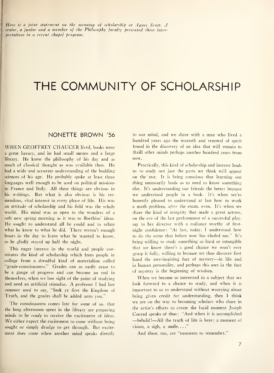Here is <sup>a</sup> joint statement on the meaning of scholarship at Agnes Scott. A senior, a junior and a member of the Philosophy faculty presented these inter pretations in a recent chapel program.

### THE COMMUNITY OF SCHOLARSHIP

### NONETTE BROWN '56

WHEN GEOFFREY CHAUCER lived, books were a great luxury, and he had small means and a large library. He knew the philosophy of his day and as much of classical thought as was available then. He had a wide and accurate understanding of the budding sciences of his age. He probably spoke at least three languages well enough to be used on political missions to France and Italy. All these things are obvious in his writings. But what is also obvious is his tre mendous, vital interest in every phase of life. His was an attitude of scholarship and his field was the whole world. His mind was as open to the wonders of <sup>a</sup> soft new spring morning as it was to Boethius' ideas. He sought to understand all he could and to relate what he knew to what he did. There weren't enough hours in the day to learn what he wanted to know, so he gladly stayed up half the night.

This eager interest in the world and people constitutes the kind of scholarship which frees people in college from a dreadful kind of materialism called "grade-consciousness." Grades can so easily cease to be a gauge of progress and can become an end in themselves, when we lose sight of the point of studying and need an artificial stimulus. A professor <sup>I</sup> had last summer used to say, "Seek ye first the kingdom of Truth, and the grades shall be added unto you."

The consciousness comes late for some of us, that the long afternoons spent in the library are preparing minds to he *ready* to receive the excitement of ideas. We either expect the excitement to come without being sought or simply drudge to get through. But excite ment does come when another mind speaks directly to our mind, and we share with <sup>a</sup> man who lived <sup>a</sup> hundred years ago the warmth and renewal of spirit found in the discovery of an idea that will remain to thrill other minds perhaps another hundred vears from now.

Practically, this kind of scholarship and interest leads us to study not just the parts we think will appear on the test. It is being conscious that learning one thing necessarily leads us to need to know something else. It's understanding our friends the better because we understood people in <sup>a</sup> book. It's when we're honestly pleased to understand at last how to work a math problem, after the exam, even. It's when we share the kind of integrity that made a great actress, on the eve of the last performance of a successful play, say to her director with a radiance worthy of firstnight confidence: "At last, today, <sup>I</sup> understood how to do the scene that before now has eluded me." It's being willing to study something so hard or intangible that we know there's a good chance we won't ever grasp it fully, willing to because we thus discover first hand the awe-inspiring fact of mystery—in life and in human personality, and perhaps this awe in the face of mystery is the beginning of wisdom.

When we become so interested in <sup>a</sup> subject that we look forward to a chance to study, and when it is important to us to understand without worrying about being given credit for understanding, then <sup>I</sup> think we are on the way to becoming scholars who share in the artist's efforts to create the lucid moment Joseph Conrad speaks of thus: "And when it is accomplished —behold!—All the truth of life is here: <sup>a</sup> moment of vision, a sigh, a smile. . . ."

And these, too, are "moments to remember."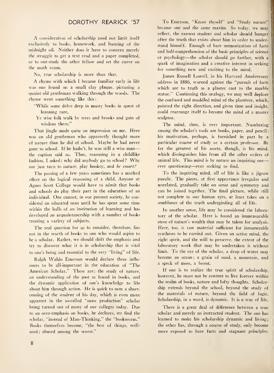### DOROTHY REARICK '57

A consideration of scholarship need not limit itself exclusively to books, homework, and burning of the midnight oil. Neither does it have to concern merely the struggle to get a text read and a paper completed, or to out-study the other fellow and set the curve on the math exam.

No, true scholarship is more than that.

A rhyme with which <sup>I</sup> became familiar early in life was one found on a small clay plaque, picturing a quaint old gentleman walking through the woods. The rhyme went something like this

- "While some delve deep in musty books in quest of learning rare,
- Ye wise folk walk by trees and brooks and gain of wisdom there."

That jingle made quite an impression on me. Here was an old gentleman who apparently thought more of nature than he did of school. Maybe he had never gone to school. If he hadn't, he was still <sup>a</sup> wise man the caption said so. Thus, reasoning in a childlike fashion, I asked: why did anybody go to school? Why not just turn to nature, play hookey, and be smart?

The passing of <sup>a</sup> few years sometimes has <sup>a</sup> marked effect on the logical reasoning of <sup>a</sup> child. Anyone at Agnes Scott College would have to admit that books and schools do play their part in the education of an individual. One cannot, in our present society, be considered an educated man until he has spent some time within the halls of an institution of learning and has developed an acquaintanceship with a number of books treating a variety of subjects.

The real question for us to consider, therefore, lies not in the worth of books to one who would aspire to be a scholar. Rather, we should shift the emphasis and try to discover what it is in scholarship that is vital to one's being and essential to the very "living" of life.

Ralph Waldo Emerson would declare three influences to be all-important in the education of "The American Scholar." These are: the study of nature, an understanding of the past as found in books, and the dynamic application of one's knowledge to life about him through action. He is quick to note a shortcoming of the student of his day, which is even more apparent in the so-called "mass production" scholar being turned out of many of our colleges today. Due to an over-emphasis on books, he declares, we find the scholar, "instead of Man-Thinking," the "bookworm." Books themselves become, "the best of things, wellused ; abused among the worst."

To Emerson, "Know thyself" and "Study nature" became one and the same maxim. So today, we may reflect, the earnest student and scholar should hunger after the truth that exists about him in order to understand himself. Enough of bare memorization of facts and half-comprehension of the basic principles of science or psychology—the scholar should go farther, with <sup>a</sup> spark of imagination and <sup>a</sup> creative interest in seeking for something new and exciting to the mind.

—

James Russell Lowell, in his Harvard Anniversary address in 1886, warned against the "pursuit of facts which are to truth as a plaster cast to the marble statue." Continuing this analogy, we may well deplore the confused and muddled mind of the plasterer, which, pointed the right direction, and given time and insight, could rearrange itself to become the mind of a master sculptor.

The mind, then, is ever important. Numbering among the scholar's tools are books, paper, and pencil; his motivation, perhaps, is furnished in part by a particular course of study or a certain professor. By far the greatest of his assets, though, is his mind, which distinguishes him from all the other orders of animal life. This mind is by nature an inquiring one ever questioning—ever seeking to find.

To the inquiring mind, all of life is like <sup>a</sup> jigsaw puzzle. The pieces, at first appearance irregular and unrelated, gradually take on sense and symmetry and can be joined together. The final picture, while still not complete to our human eyes, at least takes on <sup>a</sup> semblance of the truth undergirding all of life.

In another sense, life may be considered the laboratory of the scholar. Here is found an immeasurable store of nature's wealth that may be taken for analysis. Here, too, is raw material sufficient for innumerable syntheses to be carried out. Given an active mind, the right spirit, and the will to perserve, the extent of the laboratory work that may be undertaken is without limit. To the eye of the scholar, <sup>a</sup> drop of water may become an ocean ; a grain of sand, a mountain, and a speck of moss, a forest.

If one is to realize the true spirit of scholarship, however, he must not be content to live forever within the realm of books, nature and lofty thoughts. Scholarship extends beyond the school, beyond the study of the materials of nature, beyond the field of logic. Scholarship, in <sup>a</sup> word, is dynamic. It is <sup>a</sup> way of life.

There is a great deal of difference between a true scholar and merely an instructed student. The one has learned to make his scholarship dynamic and living; the other has, through a course of study, only become more exposed to bare facts and stagnant principles.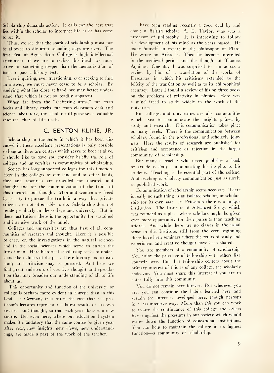Scholarship demands action. It calls for the best that lies within the scholar to interpret life as he has come to see it.

Thus, we see that the spark of scholarship must not be allowed to die after schooling days are over. The first ideal of Agnes Scott College is high intellectual attainment; if we are to realize this ideal, we must strive for something deeper than the memorization of facts to pass a history test.

Ever inquiring, ever questioning, ever seeking to find an answer, we must never cease to be a scholar. By studying what lies close at hand, we may better understand that which is not so readily apparent.

When far from the "sheltering arms," far from books and library stacks, far from classroom desk and science laboratory, the scholar still possesses a valuable resource, that of life itself.

### C. BENTON KLINE, JR.

Scholarship in the sense in which it has been discussed in these excellent presentations is only possible so long as there are centers which serve to keep it alive. <sup>I</sup> should like to have you consider briefly the role of colleges and universities as communities of scholarship.

Society has long supported colleges for this function. Here in the colleges of our land and of other lands, time and resources are provided for research and thought and for the communication of the fruits of this research and thought. Men and women are freed by society to pursue the truth in <sup>a</sup> way that private citizens are not often able to do. Scholarship does not reside peculiarly in the college and university. But in these institutions there is the opportunity for sustained and intensive work of the mind.

Colleges and universities are thus first of all communities of research and thought. Here it is possible to carry on the investigations in the natural sciences and in the social sciences which serve to enrich the life of man. Here historical scholarship seeks to understand the richness of the past. Here literary and artistic study and criticism may be pursued. And here we find great endeavors of creative thought and speculation that may broaden our understanding of all of life about us.

This opportunity and function of the university or college is perhaps more evident in Europe than in this land. In Germany it is often the case that the professor's lectures represent the latest results of his own research and thought, so that each year there is <sup>a</sup> new course. But even here, where our educational system makes it mandatory that the same course be given year after year, new insights, new views, new understandings, are made <sup>a</sup> part of the work of the teacher.

<sup>I</sup> have been reading recently a good deal by and about <sup>a</sup> British scholar, A. E. Taylor, who was <sup>a</sup> professor of philosophy. It is interesting to follow the development of his mind as the years passed. He made himself an expert in the philosophy of Plato. He wrote on Aristotle. Then he became interested in the medieval period and the thought of Thomas Aquinas. One day <sup>I</sup> was surprised to run across <sup>a</sup> review by him of a translation of the works of Descartes, in which his criticisms extended to the felicity of the translation as well as to its philosophical accuracy. Later <sup>I</sup> found a review of his on three books on the problems of relativity in physics. Here was a mind freed to study widely in the work of the university.

But colleges and universities are also communities which exist to communicate the insights gained by study and research. This communication takes place on many levels. There is the communication between scholars, found in the professional and scholarly journals. Here the results of research are published for criticism and acceptance or rejection by the larger community of scholarship.

But many <sup>a</sup> teacher who never publishes <sup>a</sup> book or article is daily communicating his insights to his students. Teaching is the essential part of the college. And teaching is scholarly communication just as surely as published work.

Communication of scholarship seems necessary. There is really no such thing as an isolated scholar, or scholarship for its own sake. In Princeton there is <sup>a</sup> unique institution. The Institute of Advanced Study, which was founded as <sup>a</sup> place where scholars might be given even more opportunity for their pursuits than teaching affords. And while there are no classes in the usual sense in this Institute, still from the very beginning there have been seminars where the fruits of study and experiment and creative thought have been shared.

You are members of a community of scholarship. You enjoy the privilege of fellowship with others like yourself here. But that fellowship centers about the primary interest of this as of any college, the scholarly endeavor. You must share this interest if you are to enter fully into this community.

You do not remain here forever. But wherever you are, you can continue the habits learned here and sustain the interests developed here, though perhaps in <sup>a</sup> less intensive way. More than this you can work to insure the continuance of this college and others like it against the pressures in our society which would water down the function of educational institutions. You can help to maintain the college in its highest function—<sup>a</sup> community of scholarship.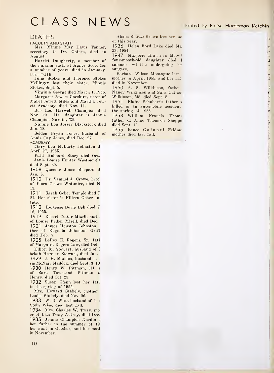### CLASS NEWS Edited by Eloise Hardeman Ketchin

1, .e  $\frac{1}{2}$ ×.  $\mathbf d$ 

> $\mathbf{I}$  $\mathbf{t}$  $\mathbf{r}$  $\mathbf{I}$  $\mathbf{I}$ e

> > f

#### DEATHS

FACULTY AND STAFF

Mrs. Minnie May Davis Tenner, secretary to Dr. Gaines, died in August.

Harriet Daugherty, a member of the nursing staff at Agnes Scott for a number of years, died in January. **INSTITUTE** 

Julia Stokes and Florence Stokes Mellinger lost their sister, Minnie Stokes, Sept. 5.

Virginia George died March 1, 1955. Margaret Jewett Cheshire, sister of Mabel Jewett Miles and Martha Jewett Academy, died Nov. 11.

Sue Lou Harwell Champion died Nov. 20. Her daughter is Jennie Champion Nardin, '35.

Nannie Lou Jossey Blackstock died Jan. 22.

Selden Bryan Jones, husband of Anais Cay Jones, died Dec. 27.

**ACADEMY** Mary Lou McLarty Johnston d April 27, 1955.

Patti Hubbard Stacy died Oct. Janie Louise Hunter Westmorela died Sept. 30.

<sup>1</sup> 908 Queenie Jones Sheperd d Jan. 5.

1910 Dr. Samuel J. Crowe, brotl of Flora Crowe Whitmire, died N 13.

1911 Sarah Gober Temple died J 21. Her sister is Eilleen Gober In: tute.

1912 Hortense Boyle Bell died F 16, 1955.

1919 Robert Cotter Mizell, husbs of Louise Felker Mizell, died Dec.

1921 James Houston Johnston, ther of Eugenia Johnston Grift died Feb. 7.

1925 LeRoy E. Rogers, Sr., fatl of Margaret Rogers Law, died Oct.

Elliott M. Stewart, husband of <sup>1</sup> bekah Harman Stewart, died Jan. 1929 J. H. Maddox, husband of sie McNair Maddox, died Sept. 3, 19 1930 Henry W. Pittman, III, <sup>s</sup> of Sara Townsend Pittman <sup>a</sup> Henry, died Oct. 23.

1932 Susan Glenn lost her fath in the spring of 1955.

Mrs. Howard Stakely, mother Louise Stakely, died Nov. 26.

1933 W. D. Wise, husband of Luc Stein Wise, died last fall.

1934 Mrs. Charles W. Tway, mot er of Liza Tway Autrey, died Dec. 1935 Jennie Champion Nardin 1 her father in the summer of 19; her aunt in October, and her moth in November.

Alsine Shutze Brown lost her mo er this year.

1936 Helen Ford Lake died Ma 23, 1954.

<sup>1</sup> 947 Marjorie Harris Melvil four-month-old daughter died <sup>1</sup> summer while undergoing he surgery.

Barbara Wilson Montague lost mother in April, 1955, and her fat died in November.

1950 A. S. Wilkinson, father Nancy Wilkinson and Sara Cather Wilkinson, '48, died Sept. 8.

1951 Elaine Schubert's father killed in an automobile accident the spring of 1955.

1953 William Francis Thoms father of Anne Thomson Sheppa died Sept. 19.

1955 Renee Galanti Feldma mother died last fall.